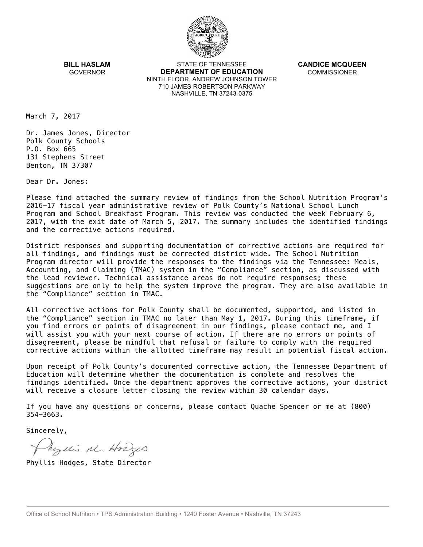

**BILL HASLAM** GOVERNOR

STATE OF TENNESSEE **DEPARTMENT OF EDUCATION** NINTH FLOOR, ANDREW JOHNSON TOWER 710 JAMES ROBERTSON PARKWAY NASHVILLE, TN 37243-0375

**CANDICE MCQUEEN** COMMISSIONER

March 7, 2017

Dr. James Jones, Director Polk County Schools P.O. Box 665 131 Stephens Street Benton, TN 37307

Dear Dr. Jones:

Please find attached the summary review of findings from the School Nutrition Program's 2016-17 fiscal year administrative review of Polk County's National School Lunch Program and School Breakfast Program. This review was conducted the week February 6, 2017, with the exit date of March 5, 2017. The summary includes the identified findings and the corrective actions required.

District responses and supporting documentation of corrective actions are required for all findings, and findings must be corrected district wide. The School Nutrition Program director will provide the responses to the findings via the Tennessee: Meals, Accounting, and Claiming (TMAC) system in the "Compliance" section, as discussed with the lead reviewer. Technical assistance areas do not require responses; these suggestions are only to help the system improve the program. They are also available in the "Compliance" section in TMAC.

All corrective actions for Polk County shall be documented, supported, and listed in the "Compliance" section in TMAC no later than May 1, 2017. During this timeframe, if you find errors or points of disagreement in our findings, please contact me, and I will assist you with your next course of action. If there are no errors or points of disagreement, please be mindful that refusal or failure to comply with the required corrective actions within the allotted timeframe may result in potential fiscal action.

Upon receipt of Polk County's documented corrective action, the Tennessee Department of Education will determine whether the documentation is complete and resolves the findings identified. Once the department approves the corrective actions, your district will receive a closure letter closing the review within 30 calendar days.

If you have any questions or concerns, please contact Quache Spencer or me at (800) 354-3663.

Sincerely,

Myllis M. Hodges

Phyllis Hodges, State Director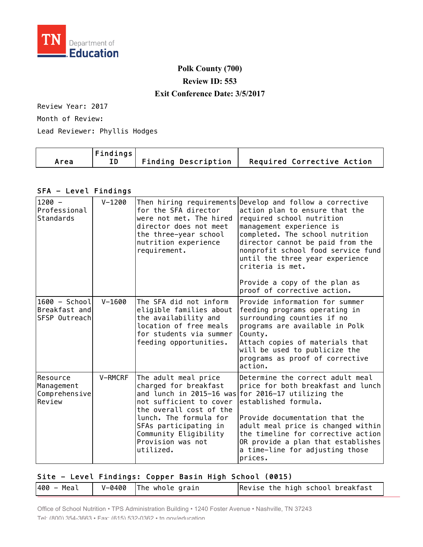

## **Polk County (700) Review ID: 553 Exit Conference Date: 3/5/2017**

Review Year: 2017

Month of Review:

Lead Reviewer: Phyllis Hodges

| $ $ Findings $ $<br>Area | $\mid$ Finding Description $\mid$ Required Corrective Action |
|--------------------------|--------------------------------------------------------------|
|--------------------------|--------------------------------------------------------------|

## SFA - Level Findings

| $1200 -$<br>Professional<br>Standards              | $V - 1200$ | for the SFA director<br>were not met. The hired<br>director does not meet<br>the three-year school<br>nutrition experience<br>requirement.                                                                        | Then hiring requirements Develop and follow a corrective<br>action plan to ensure that the<br>required school nutrition<br>management experience is<br>completed. The school nutrition<br>director cannot be paid from the<br>nonprofit school food service fund<br>until the three year experience<br>criteria is met.<br>Provide a copy of the plan as<br>proof of corrective action. |
|----------------------------------------------------|------------|-------------------------------------------------------------------------------------------------------------------------------------------------------------------------------------------------------------------|-----------------------------------------------------------------------------------------------------------------------------------------------------------------------------------------------------------------------------------------------------------------------------------------------------------------------------------------------------------------------------------------|
| $1600 - School$<br>Breakfast and<br>SFSP Outreach  | $V - 1600$ | The SFA did not inform<br>eligible families about<br>the availability and<br>location of free meals<br>for students via summer<br>feeding opportunities.                                                          | Provide information for summer<br>feeding programs operating in<br>surrounding counties if no<br>programs are available in Polk<br>County.<br>Attach copies of materials that<br>will be used to publicize the<br>programs as proof of corrective<br>action.                                                                                                                            |
| lResource<br>Management<br>Comprehensive<br>Review | V-RMCRF    | The adult meal price<br>charged for breakfast<br>not sufficient to cover<br>the overall cost of the<br>lunch. The formula for<br>SFAs participating in<br>Community Eligibility<br>Provision was not<br>utilized. | Determine the correct adult meal<br>price for both breakfast and lunch<br>and lunch in 2015-16 was for 2016-17 utilizing the<br>established formula.<br>Provide documentation that the<br>adult meal price is changed within<br>the timeline for corrective action<br>OR provide a plan that establishes<br>a time-line for adjusting those<br>prices.                                  |

## Site - Level Findings: Copper Basin High School (0015)

| $V-0400$ The whole grain<br> 400 – Meal | Revise the high school breakfast |
|-----------------------------------------|----------------------------------|
|-----------------------------------------|----------------------------------|

Office of School Nutrition • TPS Administration Building • 1240 Foster Avenue • Nashville, TN 37243 Tel: (800) 354-3663 • Fax: (615) 532-0362 • tn.gov/education